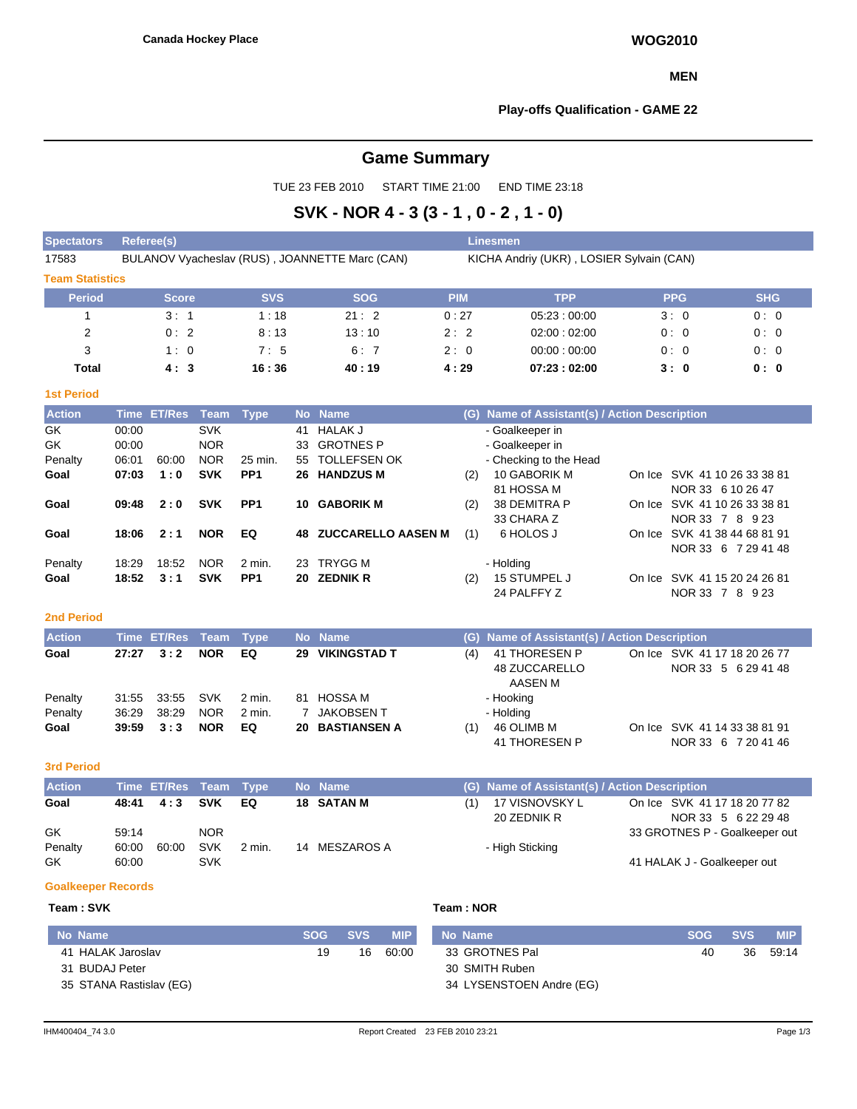#### **MEN**

#### **Play-offs Qualification - GAME 22**

# **Game Summary**

TUE 23 FEB 2010 START TIME 21:00 END TIME 23:18

# **SVK - NOR 4 - 3 (3 - 1 , 0 - 2 , 1 - 0)**

| <b>Spectators</b>      | Referee(s)                                     |            |            | <b>Linesmen</b>                          |             |            |            |  |  |  |  |  |
|------------------------|------------------------------------------------|------------|------------|------------------------------------------|-------------|------------|------------|--|--|--|--|--|
| 17583                  | BULANOV Vyacheslav (RUS), JOANNETTE Marc (CAN) |            |            | KICHA Andriy (UKR), LOSIER Sylvain (CAN) |             |            |            |  |  |  |  |  |
| <b>Team Statistics</b> |                                                |            |            |                                          |             |            |            |  |  |  |  |  |
| <b>Period</b>          | <b>Score</b>                                   | <b>SVS</b> | <b>SOG</b> | <b>PIM</b>                               | <b>TPP</b>  | <b>PPG</b> | <b>SHG</b> |  |  |  |  |  |
|                        | 3:1                                            | 1:18       | 21:2       | 0:27                                     | 05:23:00:00 | 3:0        | 0:0        |  |  |  |  |  |
| 2                      | 0:2                                            | 8:13       | 13:10      | 2:2                                      | 02:00:02:00 | 0:0        | 0:0        |  |  |  |  |  |
| 3                      | 1:0                                            | 7:5        | 6:7        | 2:0                                      | 00:00:00:00 | 0:0        | 0:0        |  |  |  |  |  |
| <b>Total</b>           | 4:3                                            | 16:36      | 40:19      | 4:29                                     | 07:23:02:00 | 3:0        | 0: 0       |  |  |  |  |  |

#### **1st Period**

| <b>Action</b> |       | Time ET/Res Team Type |            |                 |     | No Name                      | (G). | Name of Assistant(s) / Action Description |        |                              |
|---------------|-------|-----------------------|------------|-----------------|-----|------------------------------|------|-------------------------------------------|--------|------------------------------|
| GK            | 00:00 |                       | <b>SVK</b> |                 | 41  | HALAK J                      |      | - Goalkeeper in                           |        |                              |
| GK            | 00:00 |                       | <b>NOR</b> |                 |     | 33 GROTNES P                 |      | - Goalkeeper in                           |        |                              |
| Penalty       | 06:01 | 60:00                 | <b>NOR</b> | 25 min.         | 55. | <b>TOLLEFSEN OK</b>          |      | - Checking to the Head                    |        |                              |
| Goal          | 07:03 | 1:0                   | <b>SVK</b> | PP <sub>1</sub> |     | 26 HANDZUS M                 | (2)  | 10 GABORIK M                              |        | On Ice SVK 41 10 26 33 38 81 |
|               |       |                       |            |                 |     |                              |      | 81 HOSSA M                                |        | NOR 33 6 10 26 47            |
| Goal          | 09:48 | 2:0                   | <b>SVK</b> | PP <sub>1</sub> | 10. | <b>GABORIK M</b>             | (2)  | 38 DEMITRA P                              | On Ice | SVK 41 10 26 33 38 81        |
|               |       |                       |            |                 |     |                              |      | 33 CHARA Z                                |        | NOR 33 7 8 9 23              |
| Goal          | 18:06 | 2:1                   | <b>NOR</b> | EQ              |     | <b>48 ZUCCARELLO AASEN M</b> | (1)  | 6 HOLOS J                                 |        | On Ice SVK 41 38 44 68 81 91 |
|               |       |                       |            |                 |     |                              |      |                                           |        | NOR 33 6 7 29 41 48          |
| Penalty       | 18:29 | 18:52                 | <b>NOR</b> | 2 min.          | 23. | TRYGG M                      |      | - Holding                                 |        |                              |
| Goal          | 18:52 | 3:1                   | <b>SVK</b> | PP <sub>1</sub> |     | 20 ZEDNIK R                  | (2)  | 15 STUMPEL J                              |        | On Ice SVK 41 15 20 24 26 81 |
|               |       |                       |            |                 |     |                              |      | 24 PALFFY Z                               |        | NOR 33 7<br>8.<br>9 2 3      |

#### **2nd Period**

| <b>Action</b> |       | Time ET/Res Team Type |            |        | No Name                | (G) Name of Assistant(s) / Action Description        |  |
|---------------|-------|-----------------------|------------|--------|------------------------|------------------------------------------------------|--|
| Goal          | 27:27 | 3:2                   | <b>NOR</b> | EQ     | 29 VIKINGSTAD T        | On Ice SVK 41 17 18 20 26 77<br>41 THORESEN P<br>(4) |  |
|               |       |                       |            |        |                        | 48 ZUCCARELLO<br>NOR 33 5 6 29 41 48                 |  |
|               |       |                       |            |        |                        | AASEN M                                              |  |
| Penalty       | 31:55 | 33:55 SVK             |            | 2 min. | 81 HOSSA M             | - Hooking                                            |  |
| Penalty       | 36.29 | 38:29                 | <b>NOR</b> | 2 min. | 7 JAKOBSEN T           | - Holding                                            |  |
| Goal          |       | $39:59 \quad 3:3$     | <b>NOR</b> | EQ     | <b>20 BASTIANSEN A</b> | On Ice SVK 41 14 33 38 81 91<br>46 OLIMB M<br>(1)    |  |
|               |       |                       |            |        |                        | 41 THORESEN P<br>NOR 33 6 7 20 41 46                 |  |

**3rd Period**

| <b>Action</b> |       | Time ET/Res Team Type |            |          | No Name           | (G) Name of Assistant(s) / Action Description |                               |
|---------------|-------|-----------------------|------------|----------|-------------------|-----------------------------------------------|-------------------------------|
| Goal          |       | $48:41 \quad 4:3$     | SVK        | EQ.      | <b>18 SATAN M</b> | 17 VISNOVSKY L                                | On Ice SVK 41 17 18 20 77 82  |
|               |       |                       |            |          |                   | 20 ZEDNIK R                                   | NOR 33 5 6 22 29 48           |
| GK            | 59:14 |                       | <b>NOR</b> |          |                   |                                               | 33 GROTNES P - Goalkeeper out |
| Penalty       | 60:00 | 60:00                 | <b>SVK</b> | $2$ min. | 14 MESZAROS A     | - High Sticking                               |                               |
| GK            | 60:00 |                       | SVK        |          |                   |                                               | 41 HALAK J - Goalkeeper out   |

#### **Goalkeeper Records**

#### **Team : SVK Team : NOR**

| No Name                 | <b>SOG</b> | SVS \ | <b>MIP</b> | No Name                  | SOG SVS |    | <b>MIP</b> |
|-------------------------|------------|-------|------------|--------------------------|---------|----|------------|
| 41 HALAK Jaroslav       | 19         | 16    | 60:00      | 33 GROTNES Pal           | 40      | 36 | 59:14      |
| 31 BUDAJ Peter          |            |       |            | 30 SMITH Ruben           |         |    |            |
| 35 STANA Rastislav (EG) |            |       |            | 34 LYSENSTOEN Andre (EG) |         |    |            |

NOR 33 6 7 20 41 46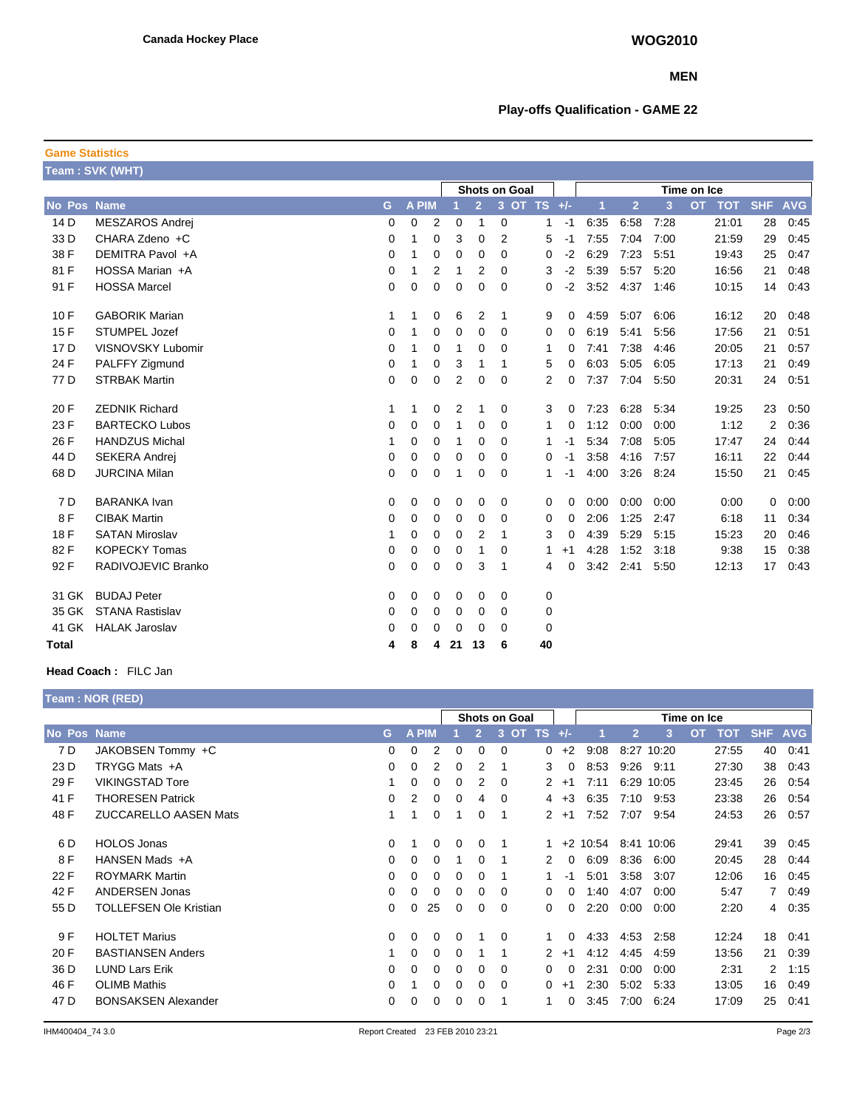#### **MEN**

## **Play-offs Qualification - GAME 22**

| <b>Game Statistics</b> |                        |             |              |                |                |                |                      |    |      |      |                |                |             |            |            |            |
|------------------------|------------------------|-------------|--------------|----------------|----------------|----------------|----------------------|----|------|------|----------------|----------------|-------------|------------|------------|------------|
|                        | Team: SVK (WHT)        |             |              |                |                |                |                      |    |      |      |                |                |             |            |            |            |
|                        |                        |             |              |                |                |                | <b>Shots on Goal</b> |    |      |      |                |                | Time on Ice |            |            |            |
| <b>No Pos Name</b>     |                        | G           | <b>A PIM</b> |                |                | $\overline{2}$ | 3 OT TS +/-          |    |      | 1    | $\overline{2}$ | $\overline{3}$ | <b>OT</b>   | <b>TOT</b> | <b>SHF</b> | <b>AVG</b> |
| 14 D                   | <b>MESZAROS Andrei</b> | 0           | 0            | $\overline{2}$ | 0              | 1              | 0                    | 1  | $-1$ | 6:35 | 6:58           | 7:28           |             | 21:01      | 28         | 0:45       |
| 33 D                   | CHARA Zdeno +C         | $\mathbf 0$ | 1            | 0              | 3              | 0              | 2                    | 5  | $-1$ | 7:55 | 7:04           | 7:00           |             | 21:59      | 29         | 0:45       |
| 38 F                   | DEMITRA Pavol +A       | 0           | 1            | 0              | 0              | 0              | 0                    | 0  | $-2$ | 6:29 | 7:23           | 5:51           |             | 19:43      | 25         | 0:47       |
| 81 F                   | HOSSA Marian +A        | 0           | 1            | 2              | 1              | 2              | 0                    | 3  | $-2$ | 5:39 | 5:57           | 5:20           |             | 16:56      | 21         | 0:48       |
| 91 F                   | <b>HOSSA Marcel</b>    | 0           | $\mathbf 0$  | $\mathbf 0$    | $\mathbf 0$    | 0              | 0                    | 0  | $-2$ | 3:52 | 4:37           | 1:46           |             | 10:15      | 14         | 0:43       |
| 10F                    | <b>GABORIK Marian</b>  | 1           | 1            | 0              | 6              | 2              | 1                    | 9  | 0    | 4:59 | 5:07           | 6:06           |             | 16:12      | 20         | 0:48       |
| 15F                    | <b>STUMPEL Jozef</b>   | $\Omega$    | 1            | 0              | 0              | 0              | 0                    | 0  | 0    | 6:19 | 5:41           | 5:56           |             | 17:56      | 21         | 0:51       |
| 17 <sub>D</sub>        | VISNOVSKY Lubomir      | 0           | 1            | 0              | 1              | 0              | 0                    | 1  | 0    | 7:41 | 7:38           | 4:46           |             | 20:05      | 21         | 0:57       |
| 24 F                   | PALFFY Zigmund         | 0           | 1            | 0              | 3              | 1              | -1                   | 5  | 0    | 6:03 | 5:05           | 6:05           |             | 17:13      | 21         | 0:49       |
| 77 D                   | <b>STRBAK Martin</b>   | 0           | $\mathbf 0$  | 0              | $\overline{2}$ | 0              | 0                    | 2  | 0    | 7:37 | 7:04           | 5:50           |             | 20:31      | 24         | 0:51       |
| 20 F                   | <b>ZEDNIK Richard</b>  | 1           | 1            | 0              | 2              | 1              | 0                    | 3  | 0    | 7:23 | 6:28           | 5:34           |             | 19:25      | 23         | 0:50       |
| 23 F                   | <b>BARTECKO Lubos</b>  | 0           | 0            | 0              | 1              | 0              | 0                    | 1  | 0    | 1:12 | 0:00           | 0:00           |             | 1:12       | 2          | 0:36       |
| 26 F                   | <b>HANDZUS Michal</b>  | 1           | 0            | 0              | 1              | 0              | 0                    | 1  | -1   | 5:34 | 7:08           | 5:05           |             | 17:47      | 24         | 0:44       |
| 44 D                   | <b>SEKERA Andrej</b>   | 0           | 0            | 0              | 0              | 0              | 0                    | 0  | $-1$ | 3:58 | 4:16           | 7:57           |             | 16:11      | 22         | 0:44       |
| 68 D                   | <b>JURCINA Milan</b>   | 0           | $\mathbf 0$  | $\mathbf 0$    | 1              | 0              | 0                    | 1  | $-1$ | 4:00 | 3:26           | 8:24           |             | 15:50      | 21         | 0:45       |
| 7 D                    | <b>BARANKA Ivan</b>    | 0           | 0            | 0              | 0              | 0              | 0                    | 0  | 0    | 0:00 | 0:00           | 0:00           |             | 0:00       | 0          | 0:00       |
| 8F                     | <b>CIBAK Martin</b>    | 0           | 0            | 0              | 0              | 0              | 0                    | 0  | 0    | 2:06 | 1:25           | 2:47           |             | 6:18       | 11         | 0:34       |
| 18 F                   | <b>SATAN Miroslav</b>  | 1           | 0            | 0              | 0              | 2              | 1                    | 3  | 0    | 4:39 | 5:29           | 5:15           |             | 15:23      | 20         | 0:46       |
| 82F                    | <b>KOPECKY Tomas</b>   | 0           | 0            | 0              | 0              | 1              | 0                    | 1. | $+1$ | 4:28 | 1:52           | 3:18           |             | 9:38       | 15         | 0:38       |
| 92F                    | RADIVOJEVIC Branko     | 0           | $\mathbf 0$  | 0              | 0              | 3              | 1                    | 4  | 0    | 3:42 | 2:41           | 5:50           |             | 12:13      | 17         | 0:43       |
| 31 GK                  | <b>BUDAJ Peter</b>     | 0           | 0            | 0              | 0              | 0              | 0                    | 0  |      |      |                |                |             |            |            |            |
| 35 GK                  | <b>STANA Rastislav</b> | 0           | 0            | 0              | 0              | $\Omega$       | 0                    | 0  |      |      |                |                |             |            |            |            |
| 41 GK                  | <b>HALAK Jaroslav</b>  | $\Omega$    | 0            | 0              | 0              | $\Omega$       | $\Omega$             | 0  |      |      |                |                |             |            |            |            |
| <b>Total</b>           |                        | 4           | 8            | 4              | 21             | 13             | 6                    | 40 |      |      |                |                |             |            |            |            |

### **Head Coach :** FILC Jan

|             | Team: NOR (RED)               |          |              |            |          |                |                      |                |          |       |                |       |                         |                |            |
|-------------|-------------------------------|----------|--------------|------------|----------|----------------|----------------------|----------------|----------|-------|----------------|-------|-------------------------|----------------|------------|
|             |                               |          |              |            |          |                | <b>Shots on Goal</b> |                |          |       |                |       | Time on Ice             |                |            |
| No Pos Name |                               | G        | $\mathbf{A}$ | <b>PIM</b> |          | $\overline{2}$ | 3<br><b>OT</b>       | <b>TS</b>      | $+/-$    |       | $\overline{2}$ | 3     | <b>OT</b><br><b>TOT</b> | <b>SHF</b>     | <b>AVG</b> |
| 7 D         | JAKOBSEN Tommy +C             | $\Omega$ | 0            | 2          | 0        | 0              | $\Omega$             | 0              | $+2$     | 9:08  | 8:27           | 10:20 | 27:55                   | 40             | 0:41       |
| 23 D        | TRYGG Mats +A                 | 0        | 0            | 2          | 0        | 2              |                      | 3              | 0        | 8:53  | 9:26           | 9:11  | 27:30                   | 38             | 0:43       |
| 29 F        | <b>VIKINGSTAD Tore</b>        |          | 0            | 0          | 0        | 2              | 0                    | $\overline{2}$ | $+1$     | 7:11  | 6:29           | 10:05 | 23:45                   | 26             | 0:54       |
| 41 F        | <b>THORESEN Patrick</b>       | $\Omega$ | 2            | 0          | $\Omega$ | 4              | $\Omega$             | 4              | $+3$     | 6:35  | 7:10           | 9:53  | 23:38                   | 26             | 0.54       |
| 48 F        | <b>ZUCCARELLO AASEN Mats</b>  |          |              | 0          |          | 0              | -1                   | 2              | $+1$     | 7:52  | 7:07           | 9:54  | 24:53                   | 26             | 0:57       |
| 6 D         | <b>HOLOS Jonas</b>            | 0        |              | 0          | 0        | 0              | -1                   |                | $+2$     | 10:54 | 8:41           | 10:06 | 29:41                   | 39             | 0:45       |
| 8F          | HANSEN Mads +A                | $\Omega$ | 0            | 0          |          | 0              |                      | 2              | 0        | 6:09  | 8:36           | 6:00  | 20:45                   | 28             | 0:44       |
| 22 F        | <b>ROYMARK Martin</b>         | $\Omega$ | 0            | 0          | 0        | 0              |                      |                | -1       | 5:01  | 3:58           | 3:07  | 12:06                   | 16             | 0:45       |
| 42 F        | <b>ANDERSEN Jonas</b>         | $\Omega$ | 0            | 0          | 0        | 0              | 0                    | 0              | $\Omega$ | 1:40  | 4:07           | 0:00  | 5:47                    | $\overline{7}$ | 0:49       |
| 55 D        | <b>TOLLEFSEN Ole Kristian</b> | $\Omega$ | 0            | 25         | $\Omega$ | 0              | 0                    | 0              | $\Omega$ | 2:20  | 0:00           | 0:00  | 2:20                    | $\overline{4}$ | 0:35       |
| 9 F         | <b>HOLTET Marius</b>          | $\Omega$ | 0            | 0          | $\Omega$ |                | $\Omega$             |                | $\Omega$ | 4:33  | 4.53           | 2:58  | 12:24                   | 18             | 0:41       |
| 20 F        | <b>BASTIANSEN Anders</b>      |          | 0            | 0          | $\Omega$ | 1              |                      | 2              | $+1$     | 4:12  | 4:45           | 4.59  | 13:56                   | 21             | 0:39       |
| 36 D        | <b>LUND Lars Erik</b>         | $\Omega$ | 0            | 0          | $\Omega$ | 0              | $\Omega$             | 0              | $\Omega$ | 2:31  | 0:00           | 0:00  | 2:31                    | $\overline{2}$ | 1:15       |
| 46 F        | <b>OLIMB Mathis</b>           | 0        |              | 0          | 0        | 0              | 0                    | 0              | $+1$     | 2:30  | 5:02           | 5:33  | 13:05                   | 16             | 0:49       |
| 47 D        | <b>BONSAKSEN Alexander</b>    | 0        | 0            | 0          | 0        | 0              |                      | 1              | 0        | 3:45  | 7:00           | 6:24  | 17:09                   | 25             | 0:41       |